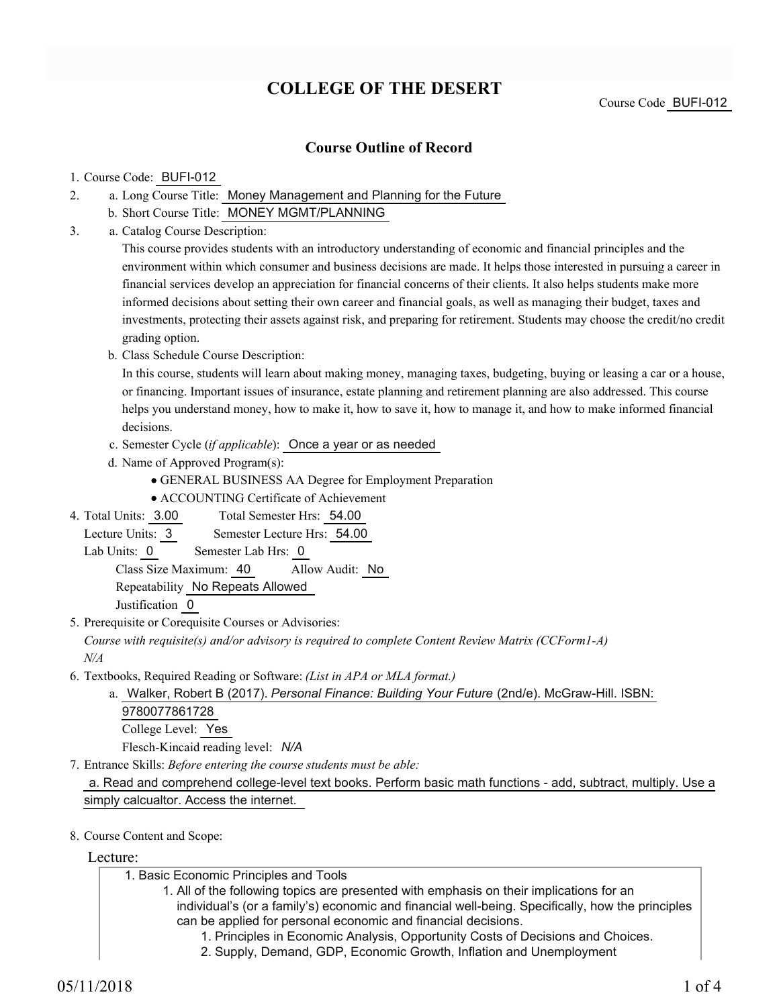# **COLLEGE OF THE DESERT**

### **Course Outline of Record**

#### 1. Course Code: BUFI-012

- a. Long Course Title: Money Management and Planning for the Future 2.
	- b. Short Course Title: MONEY MGMT/PLANNING
- Catalog Course Description: a. 3.

This course provides students with an introductory understanding of economic and financial principles and the environment within which consumer and business decisions are made. It helps those interested in pursuing a career in financial services develop an appreciation for financial concerns of their clients. It also helps students make more informed decisions about setting their own career and financial goals, as well as managing their budget, taxes and investments, protecting their assets against risk, and preparing for retirement. Students may choose the credit/no credit grading option.

b. Class Schedule Course Description:

In this course, students will learn about making money, managing taxes, budgeting, buying or leasing a car or a house, or financing. Important issues of insurance, estate planning and retirement planning are also addressed. This course helps you understand money, how to make it, how to save it, how to manage it, and how to make informed financial decisions.

- c. Semester Cycle (*if applicable*): Once a year or as needed
- d. Name of Approved Program(s):
	- GENERAL BUSINESS AA Degree for Employment Preparation
	- ACCOUNTING Certificate of Achievement
- Total Semester Hrs: 54.00 4. Total Units: 3.00
- Lecture Units: 3 Semester Lecture Hrs: 54.00
- Lab Units: 0 Semester Lab Hrs: 0

Class Size Maximum: 40 Allow Audit: No

Repeatability No Repeats Allowed

Justification 0

5. Prerequisite or Corequisite Courses or Advisories:

*Course with requisite(s) and/or advisory is required to complete Content Review Matrix (CCForm1-A) N/A*

Textbooks, Required Reading or Software: *(List in APA or MLA format.)* 6.

Walker, Robert B (2017). *Personal Finance: Building Your Future* (2nd/e). McGraw-Hill. ISBN: a. 9780077861728 College Level: Yes Flesch-Kincaid reading level: *N/A*

Entrance Skills: *Before entering the course students must be able:* 7.

a. Read and comprehend college-level text books. Perform basic math functions - add, subtract, multiply. Use a simply calcualtor. Access the internet.

8. Course Content and Scope:

Lecture:

| 1. Basic Economic Principles and Tools                                                           |
|--------------------------------------------------------------------------------------------------|
| 1. All of the following topics are presented with emphasis on their implications for an          |
| individual's (or a family's) economic and financial well-being. Specifically, how the principles |
| can be applied for personal economic and financial decisions.                                    |
| 1. Principles in Economic Analysis, Opportunity Costs of Decisions and Choices.                  |
| 2. Supply, Demand, GDP, Economic Growth, Inflation and Unemployment                              |
|                                                                                                  |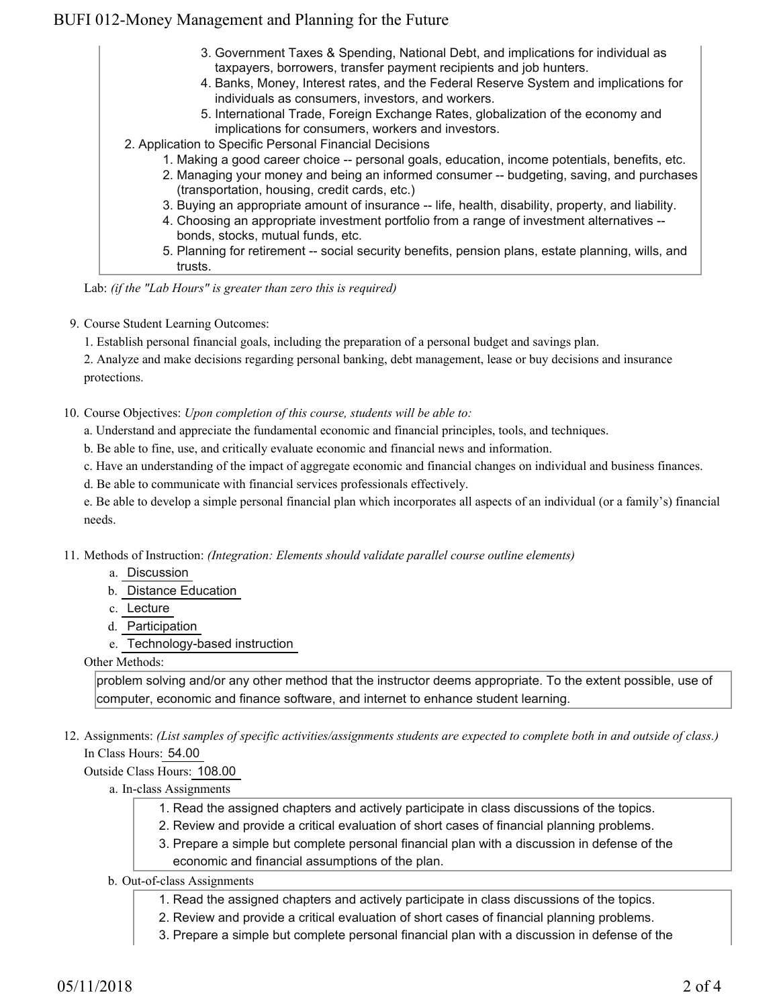## BUFI 012-Money Management and Planning for the Future

| 3. Government Taxes & Spending, National Debt, and implications for individual as<br>taxpayers, borrowers, transfer payment recipients and job hunters. |
|---------------------------------------------------------------------------------------------------------------------------------------------------------|
| 4. Banks, Money, Interest rates, and the Federal Reserve System and implications for<br>individuals as consumers, investors, and workers.               |
| 5. International Trade, Foreign Exchange Rates, globalization of the economy and<br>implications for consumers, workers and investors.                  |
| 2. Application to Specific Personal Financial Decisions                                                                                                 |
| 1. Making a good career choice -- personal goals, education, income potentials, benefits, etc.                                                          |
| 2. Managing your money and being an informed consumer -- budgeting, saving, and purchases<br>(transportation, housing, credit cards, etc.)              |
| 3. Buying an appropriate amount of insurance -- life, health, disability, property, and liability.                                                      |
| 4. Choosing an appropriate investment portfolio from a range of investment alternatives --<br>bonds, stocks, mutual funds, etc.                         |
| 5. Planning for retirement -- social security benefits, pension plans, estate planning, wills, and<br>trusts.                                           |

Lab: *(if the "Lab Hours" is greater than zero this is required)*

9. Course Student Learning Outcomes:

1. Establish personal financial goals, including the preparation of a personal budget and savings plan.

2. Analyze and make decisions regarding personal banking, debt management, lease or buy decisions and insurance protections.

10. Course Objectives: Upon completion of this course, students will be able to:

a. Understand and appreciate the fundamental economic and financial principles, tools, and techniques.

b. Be able to fine, use, and critically evaluate economic and financial news and information.

c. Have an understanding of the impact of aggregate economic and financial changes on individual and business finances.

d. Be able to communicate with financial services professionals effectively.

e. Be able to develop a simple personal financial plan which incorporates all aspects of an individual (or a family's) financial needs.

Methods of Instruction: *(Integration: Elements should validate parallel course outline elements)* 11.

- a. Discussion
- b. Distance Education
- c. Lecture

d. Participation

e. Technology-based instruction

Other Methods:

problem solving and/or any other method that the instructor deems appropriate. To the extent possible, use of computer, economic and finance software, and internet to enhance student learning.

12. Assignments: (List samples of specific activities/assignments students are expected to complete both in and outside of class.) In Class Hours: 54.00

Outside Class Hours: 108.00

- a. In-class Assignments
	- 1. Read the assigned chapters and actively participate in class discussions of the topics.
	- 2. Review and provide a critical evaluation of short cases of financial planning problems.
	- 3. Prepare a simple but complete personal financial plan with a discussion in defense of the
	- economic and financial assumptions of the plan.

#### b. Out-of-class Assignments

- 1. Read the assigned chapters and actively participate in class discussions of the topics.
- 2. Review and provide a critical evaluation of short cases of financial planning problems.
- 3. Prepare a simple but complete personal financial plan with a discussion in defense of the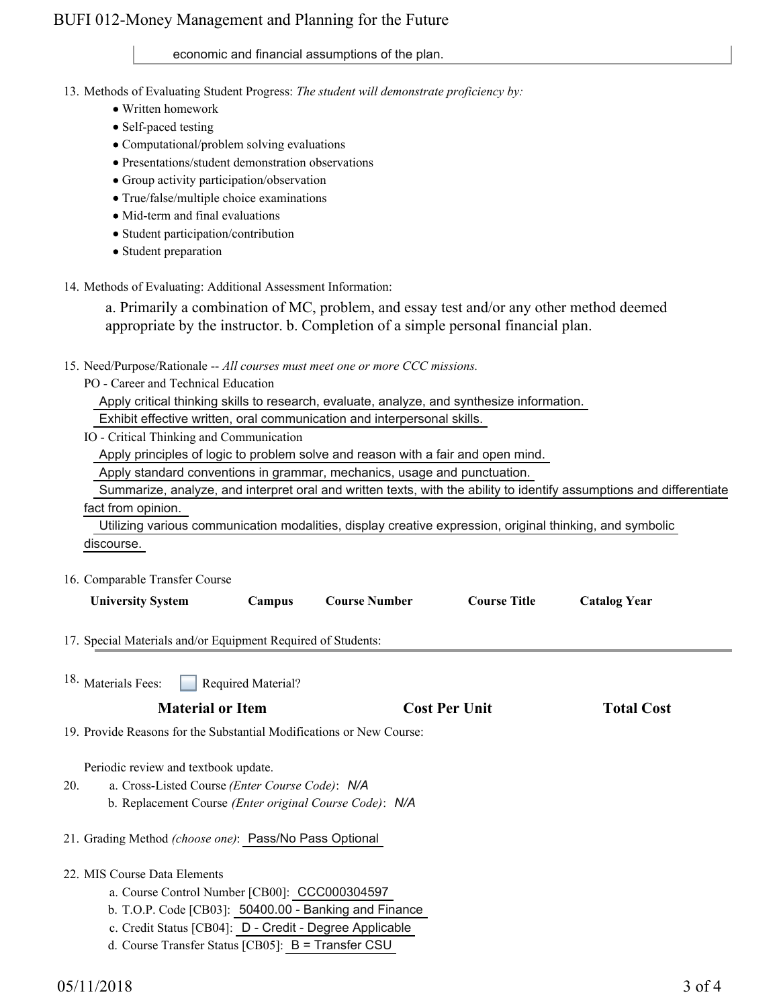## BUFI 012-Money Management and Planning for the Future

### economic and financial assumptions of the plan.

13. Methods of Evaluating Student Progress: The student will demonstrate proficiency by:

- Written homework
- Self-paced testing
- Computational/problem solving evaluations
- Presentations/student demonstration observations
- Group activity participation/observation
- True/false/multiple choice examinations
- Mid-term and final evaluations
- Student participation/contribution
- Student preparation
- 14. Methods of Evaluating: Additional Assessment Information:

a. Primarily a combination of MC, problem, and essay test and/or any other method deemed appropriate by the instructor. b. Completion of a simple personal financial plan.

- 15. Need/Purpose/Rationale -- All courses must meet one or more CCC missions.
	- PO Career and Technical Education

Apply critical thinking skills to research, evaluate, analyze, and synthesize information.

Exhibit effective written, oral communication and interpersonal skills.

IO - Critical Thinking and Communication

Apply principles of logic to problem solve and reason with a fair and open mind.

Apply standard conventions in grammar, mechanics, usage and punctuation.

 Summarize, analyze, and interpret oral and written texts, with the ability to identify assumptions and differentiate fact from opinion.

 Utilizing various communication modalities, display creative expression, original thinking, and symbolic discourse.

16. Comparable Transfer Course

| <b>University System</b>                                                                                                                                  | Campus                                                                                                                                       | <b>Course Number</b>                                  | <b>Course Title</b>  | <b>Catalog Year</b> |  |  |  |
|-----------------------------------------------------------------------------------------------------------------------------------------------------------|----------------------------------------------------------------------------------------------------------------------------------------------|-------------------------------------------------------|----------------------|---------------------|--|--|--|
| 17. Special Materials and/or Equipment Required of Students:                                                                                              |                                                                                                                                              |                                                       |                      |                     |  |  |  |
| <sup>18.</sup> Materials Fees:                                                                                                                            | <b>Required Material?</b>                                                                                                                    |                                                       |                      |                     |  |  |  |
| <b>Material or Item</b>                                                                                                                                   |                                                                                                                                              |                                                       | <b>Cost Per Unit</b> | <b>Total Cost</b>   |  |  |  |
| 19. Provide Reasons for the Substantial Modifications or New Course:                                                                                      |                                                                                                                                              |                                                       |                      |                     |  |  |  |
| Periodic review and textbook update.<br>a. Cross-Listed Course (Enter Course Code): N/A<br>20.<br>b. Replacement Course (Enter original Course Code): N/A |                                                                                                                                              |                                                       |                      |                     |  |  |  |
| 21. Grading Method (choose one): Pass/No Pass Optional                                                                                                    |                                                                                                                                              |                                                       |                      |                     |  |  |  |
| 22. MIS Course Data Elements                                                                                                                              | a. Course Control Number [CB00]: CCC000304597                                                                                                |                                                       |                      |                     |  |  |  |
|                                                                                                                                                           | $C_{\rm eff}$ 1, $C_{\rm H}$ + $C_{\rm H}$ $D_{\rm eff}$ $D_{\rm H}$ $D_{\rm H}$ $D_{\rm H}$ $D_{\rm H}$ $D_{\rm H}$ $D_{\rm H}$ $D_{\rm H}$ | b. T.O.P. Code [CB03]: 50400.00 - Banking and Finance |                      |                     |  |  |  |

- c. Credit Status [CB04]: D Credit Degree Applicable
- d. Course Transfer Status [CB05]: B = Transfer CSU